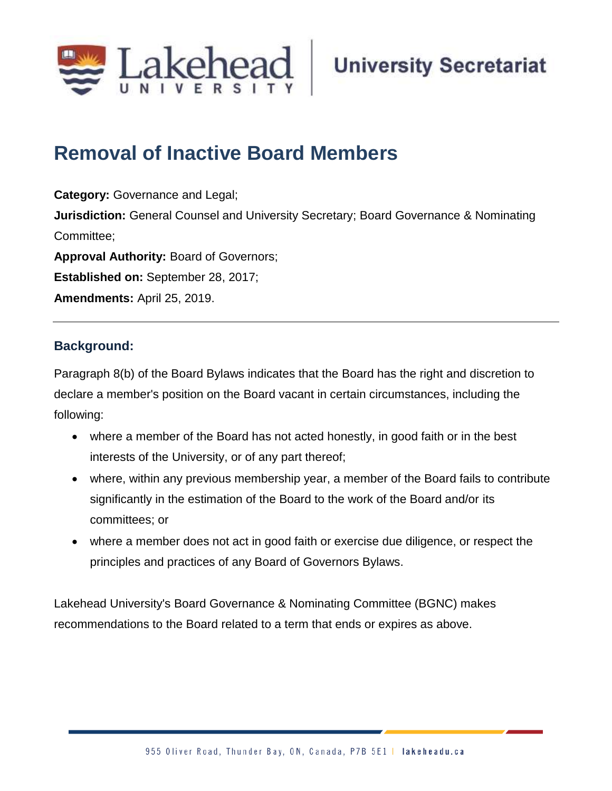

# **Removal of Inactive Board Members**

**Category:** Governance and Legal; **Jurisdiction:** General Counsel and University Secretary; Board Governance & Nominating Committee; **Approval Authority:** Board of Governors; **Established on:** September 28, 2017; **Amendments:** April 25, 2019.

## **Background:**

Paragraph 8(b) of the Board Bylaws indicates that the Board has the right and discretion to declare a member's position on the Board vacant in certain circumstances, including the following:

- where a member of the Board has not acted honestly, in good faith or in the best interests of the University, or of any part thereof;
- where, within any previous membership year, a member of the Board fails to contribute significantly in the estimation of the Board to the work of the Board and/or its committees; or
- where a member does not act in good faith or exercise due diligence, or respect the principles and practices of any Board of Governors Bylaws.

Lakehead University's Board Governance & Nominating Committee (BGNC) makes recommendations to the Board related to a term that ends or expires as above.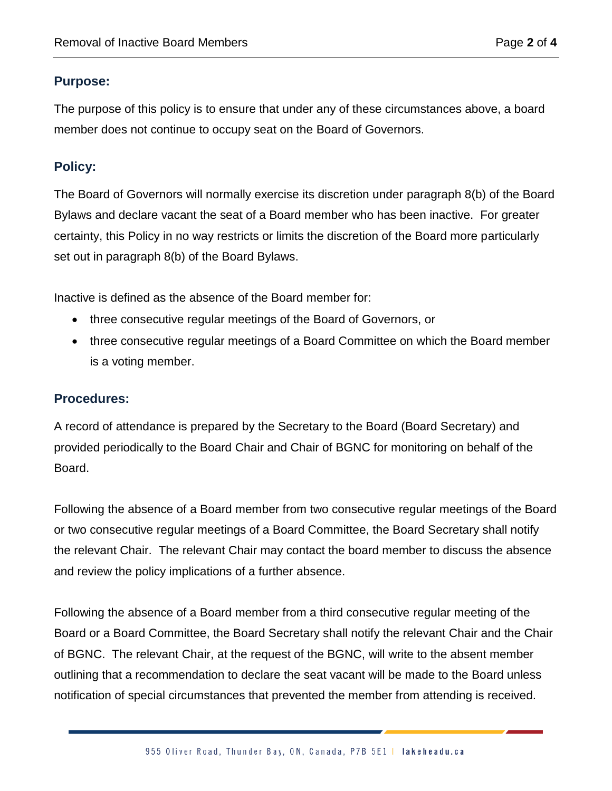#### **Purpose:**

The purpose of this policy is to ensure that under any of these circumstances above, a board member does not continue to occupy seat on the Board of Governors.

### **Policy:**

The Board of Governors will normally exercise its discretion under paragraph 8(b) of the Board Bylaws and declare vacant the seat of a Board member who has been inactive. For greater certainty, this Policy in no way restricts or limits the discretion of the Board more particularly set out in paragraph 8(b) of the Board Bylaws.

Inactive is defined as the absence of the Board member for:

- three consecutive regular meetings of the Board of Governors, or
- three consecutive regular meetings of a Board Committee on which the Board member is a voting member.

#### **Procedures:**

A record of attendance is prepared by the Secretary to the Board (Board Secretary) and provided periodically to the Board Chair and Chair of BGNC for monitoring on behalf of the Board.

Following the absence of a Board member from two consecutive regular meetings of the Board or two consecutive regular meetings of a Board Committee, the Board Secretary shall notify the relevant Chair. The relevant Chair may contact the board member to discuss the absence and review the policy implications of a further absence.

Following the absence of a Board member from a third consecutive regular meeting of the Board or a Board Committee, the Board Secretary shall notify the relevant Chair and the Chair of BGNC. The relevant Chair, at the request of the BGNC, will write to the absent member outlining that a recommendation to declare the seat vacant will be made to the Board unless notification of special circumstances that prevented the member from attending is received.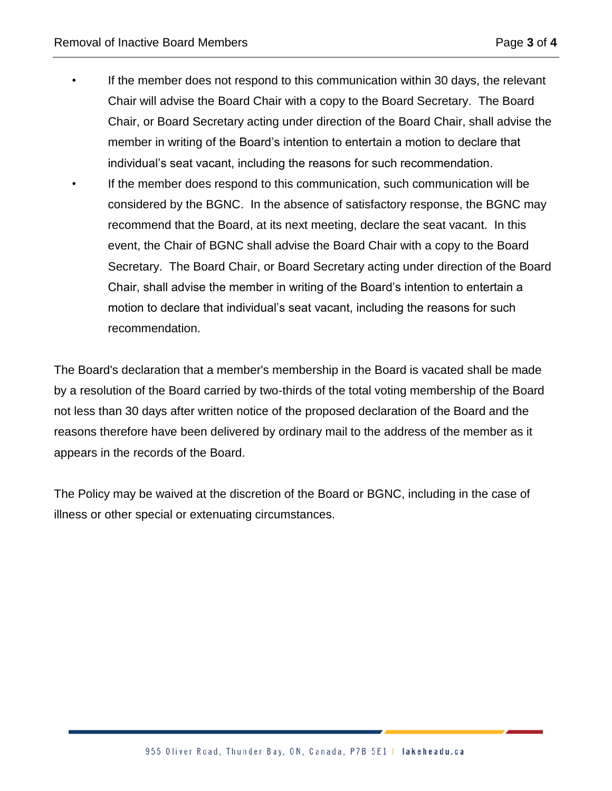• If the member does not respond to this communication within 30 days, the relevant Chair will advise the Board Chair with a copy to the Board Secretary. The Board Chair, or Board Secretary acting under direction of the Board Chair, shall advise the member in writing of the Board's intention to entertain a motion to declare that individual's seat vacant, including the reasons for such recommendation. • If the member does respond to this communication, such communication will be considered by the BGNC. In the absence of satisfactory response, the BGNC may recommend that the Board, at its next meeting, declare the seat vacant. In this event, the Chair of BGNC shall advise the Board Chair with a copy to the Board Secretary. The Board Chair, or Board Secretary acting under direction of the Board Chair, shall advise the member in writing of the Board's intention to entertain a motion to declare that individual's seat vacant, including the reasons for such recommendation.

The Board's declaration that a member's membership in the Board is vacated shall be made by a resolution of the Board carried by two-thirds of the total voting membership of the Board not less than 30 days after written notice of the proposed declaration of the Board and the reasons therefore have been delivered by ordinary mail to the address of the member as it appears in the records of the Board.

The Policy may be waived at the discretion of the Board or BGNC, including in the case of illness or other special or extenuating circumstances.